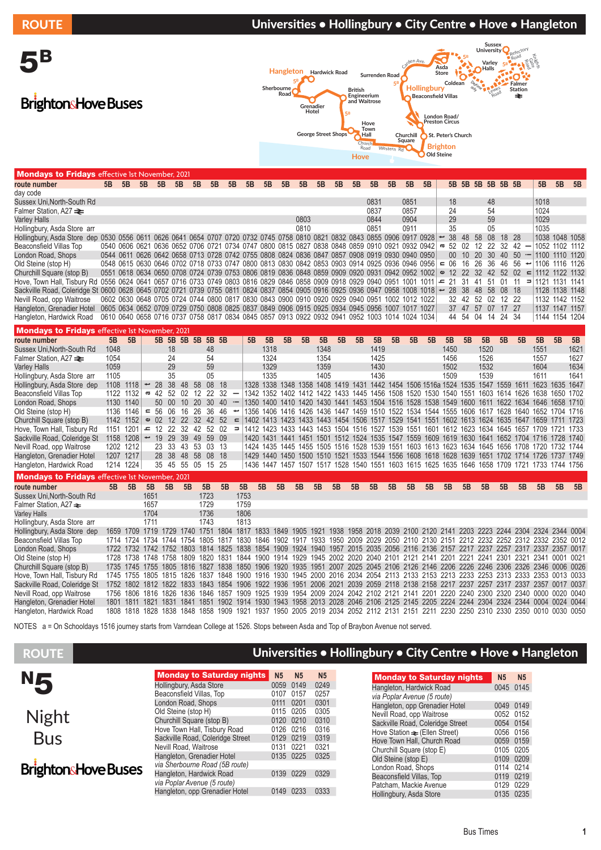ROUTE **EXECUTE EXECUTE Universities • Hollingbury • City Centre • Hove • Hangleton Sussex University** 5B Refectory Road Kani<br>Refer **5<sup>B</sup>** Gate Carden Ave. Road **Varley Halls 5<sup>B</sup>** da<br><sup>Dre</sup> Coldean **Asda Store Hangleton Hardwick Road Surrenden Road** Daytime **5<sup>B</sup> 5<sup>B</sup> Hollingbury Falmer Station Sherbourne** onlyLewes **British Engineerium and Waitrose Road Beaconsfield Villas** Road **BrightonsHove Buses Grenadier Hotel 5<sup>B</sup> London Road/ Preston Circus Hove Town George Street Shop<sup>s</sup> Hall Churchill St. Peter's Church Square Church Brighton** Road Western Rd **Old Steine Hove**

| <b>Mondays to Fridays</b> effective 1st November, 2021                                                                       |      |      |                          |                 |           |                                                                                                |                 |                     |      |                               |           |                |      |                |      |      |    |                                          |    |                                |       |     |      |                   |                                |                                                                                                |                |      |
|------------------------------------------------------------------------------------------------------------------------------|------|------|--------------------------|-----------------|-----------|------------------------------------------------------------------------------------------------|-----------------|---------------------|------|-------------------------------|-----------|----------------|------|----------------|------|------|----|------------------------------------------|----|--------------------------------|-------|-----|------|-------------------|--------------------------------|------------------------------------------------------------------------------------------------|----------------|------|
| route number                                                                                                                 | 5B   | 5B   | 5B                       | 5B              | 5B        | 5B                                                                                             | 5B              | 5B                  | 5B   | 5B                            | 5B        | 5B             | 5B   | 5B             | 5B   | 5B   | 5B | 5B                                       | 5B |                                |       |     |      | 5B 5B 5B 5B 5B 5B |                                | 5B                                                                                             | 5B             | 5B   |
| day code                                                                                                                     |      |      |                          |                 |           |                                                                                                |                 |                     |      |                               |           |                |      |                |      |      |    |                                          |    |                                |       |     |      |                   |                                |                                                                                                |                |      |
| Sussex Uni, North-South Rd                                                                                                   |      |      |                          |                 |           |                                                                                                |                 |                     |      |                               |           |                |      |                |      | 0831 |    | 0851                                     |    | 18                             |       |     | 48   |                   |                                | 1018                                                                                           |                |      |
| Falmer Station, A27 <b>≥</b>                                                                                                 |      |      |                          |                 |           |                                                                                                |                 |                     |      |                               |           |                |      |                |      | 0837 |    | 0857                                     |    | 24                             |       |     | 54   |                   |                                | 1024                                                                                           |                |      |
| <b>Varley Halls</b>                                                                                                          |      |      |                          |                 |           |                                                                                                |                 |                     |      |                               |           | 0803           |      |                |      | 0844 |    | 0904                                     |    | 29                             |       |     | 59   |                   |                                | 1029                                                                                           |                |      |
| Hollingbury, Asda Store arr                                                                                                  |      |      |                          |                 |           |                                                                                                |                 |                     |      |                               |           | 0810           |      |                |      | 0851 |    | 0911                                     |    | 35                             |       |     | 05   |                   |                                | 1035                                                                                           |                |      |
| Hollingbury, Asda Store dep 0530 0556 0611 0626 0641 0654 0707 0720 0732 0745 0758 0810 0821 0832 0843 0855 0906 0917 0928   |      |      |                          |                 |           |                                                                                                |                 |                     |      |                               |           |                |      |                |      |      |    |                                          |    | 38<br>$\overline{\phantom{a}}$ | 48    | 58  | 08   | 18                | -28                            |                                                                                                | 1038 1048 1058 |      |
| Beaconsfield Villas Top                                                                                                      |      |      |                          |                 |           | 0540 0606 0621 0636 0652 0706 0721 0734 0747 0800 0815 0827 0838 0848 0859 0910 0921 0932 0942 |                 |                     |      |                               |           |                |      |                |      |      |    |                                          |    | 52<br>ā                        | 02    | 12  | -22  | 32                | 42                             |                                                                                                | 1052 1102 1112 |      |
| London Road, Shops                                                                                                           |      |      |                          |                 |           | 0544 0611 0626 0642 0658 0713 0728 0742 0755 0808 0824 0836 0847 0857 0908 0919 0930 0940 0950 |                 |                     |      |                               |           |                |      |                |      |      |    |                                          |    | 00 <sup>°</sup>                | 10    | 20  | 30   | 40                | 50<br>$\overline{\phantom{a}}$ |                                                                                                | 1100 1110 1120 |      |
| Old Steine (stop H)                                                                                                          |      |      |                          |                 |           | 0548 0615 0630 0646 0702 0718 0733 0747 0800 0813 0830 0842 0853 0903 0914 0925 0936 0946 0956 |                 |                     |      |                               |           |                |      |                |      |      |    |                                          |    | 06<br>$\epsilon$               | 16    | 26  | 36   | 46                | 56<br>ىپ                       |                                                                                                | 1106 1116 1126 |      |
| Churchill Square (stop B)                                                                                                    |      |      |                          |                 |           | 0551 0618 0634 0650 0708 0724 0739 0753 0806 0819 0836 0848 0859 0909 0920 0931 0942 0952 1002 |                 |                     |      |                               |           |                |      |                |      |      |    |                                          |    | 12<br>$\omega$                 | 22    | 32  | 42   | 52                | 02<br>$\equiv$                 |                                                                                                | 1112 1122 1132 |      |
| Hove, Town Hall, Tisbury Rd 0556 0624 0641 0657 0716 0733 0749 0803 0816 0829 0846 0858 0909 0918 0929 0940 0951 1001 1011 = |      |      |                          |                 |           |                                                                                                |                 |                     |      |                               |           |                |      |                |      |      |    |                                          |    | 21                             | -31   | 41  | 51   | 01                | -11                            | $=$ 1121 1131 1141                                                                             |                |      |
| Sackville Road, Coleridge St 0600 0628 0645 0702 0721 0739 0755 0811 0824 0837 0854 0905 0916 0925 0936 0947 0958 1008 1018  |      |      |                          |                 |           |                                                                                                |                 |                     |      |                               |           |                |      |                |      |      |    |                                          |    | 28<br>$\overline{\phantom{a}}$ | 38    | 48  | 58   | 08 18             |                                |                                                                                                | 1128 1138 1148 |      |
| Nevill Road, opp Waitrose                                                                                                    |      |      |                          |                 |           | 0602 0630 0648 0705 0724 0744 0800 0817 0830 0843 0900 0910 0920 0929 0940 0951 1002 1012 1022 |                 |                     |      |                               |           |                |      |                |      |      |    |                                          |    | 32                             | 42    | -52 | -02  | 12 22             |                                |                                                                                                | 1132 1142 1152 |      |
| Hangleton, Grenadier Hotel                                                                                                   |      |      |                          |                 |           | 0605 0634 0652 0709 0729 0750 0808 0825 0837 0849 0906 0915 0925 0934 0945 0956 1007 1017 1027 |                 |                     |      |                               |           |                |      |                |      |      |    |                                          |    |                                | 37 47 | 57  | 07   | 17 27             |                                |                                                                                                | 1137 1147 1157 |      |
| Hangleton, Hardwick Road                                                                                                     |      |      |                          |                 |           | 0610 0640 0658 0716 0737 0758 0817 0834 0845 0857 0913 0922 0932 0941 0952 1003 1014 1024 1034 |                 |                     |      |                               |           |                |      |                |      |      |    |                                          |    |                                | 44 54 | 04  |      | 14 24 34          |                                |                                                                                                | 1144 1154 1204 |      |
| <b>Mondays to Fridays</b> effective 1st November, 2021                                                                       |      |      |                          |                 |           |                                                                                                |                 |                     |      |                               |           |                |      |                |      |      |    |                                          |    |                                |       |     |      |                   |                                |                                                                                                |                |      |
| route number                                                                                                                 | 5B   | 5B   |                          |                 |           | 5B 5B 5B 5B                                                                                    | 5B 5B           |                     | 5B   | 5B                            | 5B        | 5B             | 5B   | 5B             | 5B   | 5B   | 5B | 5B                                       | 5B | 5B                             | 5B    |     | 5B   | 5B                | 5B                             | 5B                                                                                             | 5B             | 5B   |
| Sussex Uni, North-South Rd                                                                                                   | 1048 |      |                          |                 | 18        |                                                                                                | 48              |                     |      | 1318                          |           |                | 1348 |                |      | 1419 |    |                                          |    | 1450                           |       |     | 1520 |                   |                                | 1551                                                                                           |                | 1621 |
| Falmer Station, A27 <b>≥</b>                                                                                                 | 1054 |      |                          |                 | 24        |                                                                                                | 54              |                     |      | 1324                          |           |                | 1354 |                |      | 1425 |    |                                          |    | 1456                           |       |     | 1526 |                   |                                | 1557                                                                                           |                | 1627 |
| <b>Varley Halls</b>                                                                                                          | 1059 |      |                          |                 | 29        |                                                                                                | 59              |                     |      | 1329                          |           |                | 1359 |                |      | 1430 |    |                                          |    | 1502                           |       |     | 1532 |                   |                                | 1604                                                                                           |                | 1634 |
| Hollingbury, Asda Store arr                                                                                                  | 1105 |      |                          |                 | 35        |                                                                                                | 05              |                     |      | 1335                          |           |                | 1405 |                |      | 1436 |    |                                          |    | 1509                           |       |     | 1539 |                   |                                | 1611                                                                                           |                | 1641 |
| Hollingbury, Asda Store dep                                                                                                  | 1108 | 1118 | $\overline{\phantom{m}}$ | 28              | 38<br>48  | 58                                                                                             | 08              | - 18                | 1328 |                               | 1338 1348 | 1358           |      | 1408 1419      | 1431 |      |    | 1442 1454 1506 1516a 1524 1535 1547 1559 |    |                                |       |     |      |                   | 1611                           | 1623                                                                                           | 1635           | 1647 |
| Beaconsfield Villas Top                                                                                                      | 1122 | 1132 | g                        | 42              | .52<br>02 | 12                                                                                             | 22              | 32                  |      |                               |           |                |      |                |      |      |    |                                          |    |                                |       |     |      |                   |                                | 1342 1352 1402 1412 1422 1433 1445 1456 1508 1520 1530 1540 1551 1603 1614 1626 1638 1650 1702 |                |      |
| London Road, Shops                                                                                                           | 1130 | 1140 |                          | 50 <sup>°</sup> | $00\,$    | 10<br>20                                                                                       | 30 <sup>°</sup> | $40 -$              |      |                               |           |                |      |                |      |      |    |                                          |    |                                |       |     |      |                   |                                | 1350 1400 1410 1420 1430 1441 1453 1504 1516 1528 1538 1549 1600 1611 1622 1634 1646 1658 1710 |                |      |
| Old Steine (stop H)                                                                                                          | 1136 | 1146 | $\mathbf{r}$             | 56              | 06        | 16<br>26                                                                                       | 36              | 46                  | 1356 |                               | 1406 1416 |                |      | 1426 1436 1447 |      |      |    | 1459 1510 1522 1534 1544 1555 1606 1617  |    |                                |       |     |      |                   |                                | 1628 1640 1652 1704 1716                                                                       |                |      |
| Churchill Square (stop B)                                                                                                    | 1142 | 1152 | $\mathbf \omega$         | 02              | 12        | 22<br>32                                                                                       | 42              | 52<br>$\equiv$      |      |                               |           |                |      |                |      |      |    |                                          |    |                                |       |     |      |                   |                                | 1402 1413 1423 1433 1443 1454 1506 1517 1529 1541 1551 1602 1613 1624 1635 1647 1659 1711 1723 |                |      |
| Hove, Town Hall, Tisbury Rd                                                                                                  | 1151 | 1201 | ᅩ                        | 12              | 22        | 32<br>42                                                                                       | 52              | 02<br>$\Rightarrow$ |      | 1412 1423 1433 1443 1453 1504 |           |                |      |                |      |      |    | 1516 1527 1539 1551 1601                 |    |                                |       |     |      |                   | 1612 1623 1634 1645 1657       | 1709 1721                                                                                      |                | 1733 |
| Sackville Road, Coleridge St                                                                                                 | 1158 | 1208 | $\overline{\phantom{a}}$ | 19              | 29<br>39  | 49                                                                                             | 59              | - 09                | 1420 |                               |           | 1431 1441 1451 |      |                |      |      |    | 1501 1512 1524 1535 1547 1559 1609       |    | 1619 1630 1641                 |       |     |      |                   | 1652 1704                      | 1716 1728 1740                                                                                 |                |      |
| Nevill Road, opp Waitrose                                                                                                    | 1202 | 1212 |                          | 23              | 33        | 53<br>43                                                                                       | 03 13           |                     |      |                               |           |                |      |                |      |      |    |                                          |    |                                |       |     |      |                   |                                | 1424 1435 1445 1455 1505 1516 1528 1539 1551 1603 1613 1623 1634 1645 1656 1708 1720 1732 1744 |                |      |

| Hangleton, Grenadier Hotel                             | 1207 1217 |           |                               |    |    | 28 38 48 58 08 18 |           |      |    |    |    | 1429 1440 1450 1500 1510 1521 1533 1544 1556 1608 1618 1628 1639 1651 1702 1714 1726 1737 1749                                    |    |    |    |    |    |    |    |    |    |    |    |    |    |    |
|--------------------------------------------------------|-----------|-----------|-------------------------------|----|----|-------------------|-----------|------|----|----|----|-----------------------------------------------------------------------------------------------------------------------------------|----|----|----|----|----|----|----|----|----|----|----|----|----|----|
| Hangleton, Hardwick Road                               |           | 1214 1224 |                               |    |    | 35 45 55 05 15 25 |           |      |    |    |    | 1436 1447 1457 1507 1517 1528 1540 1551 1603 1615 1625 1635 1646 1658 1709 1721 1733 1744 1756                                    |    |    |    |    |    |    |    |    |    |    |    |    |    |    |
| <b>Mondays to Fridays</b> effective 1st November, 2021 |           |           |                               |    |    |                   |           |      |    |    |    |                                                                                                                                   |    |    |    |    |    |    |    |    |    |    |    |    |    |    |
| route number                                           | 5B        | 5B        | 5B                            | 5B | 5B | 5B                | 5B        | 5B   | 5B | 5B | 5B | 5B                                                                                                                                | 5B | 5B | 5B | 5B | 5B | 5B | 5B | 5B | 5B | 5B | 5B | 5B | 5B | 5B |
| Sussex Uni, North-South Rd                             |           |           | 1651                          |    |    | 1723              |           | 1753 |    |    |    |                                                                                                                                   |    |    |    |    |    |    |    |    |    |    |    |    |    |    |
| Falmer Station, A27 <del>≥</del>                       |           |           | 1657                          |    |    | 1729              |           | 1759 |    |    |    |                                                                                                                                   |    |    |    |    |    |    |    |    |    |    |    |    |    |    |
| <b>Varley Halls</b>                                    |           |           | 1704                          |    |    | 1736              |           | 1806 |    |    |    |                                                                                                                                   |    |    |    |    |    |    |    |    |    |    |    |    |    |    |
| Hollingbury, Asda Store arr                            |           |           | 1711                          |    |    | 1743              |           | 1813 |    |    |    |                                                                                                                                   |    |    |    |    |    |    |    |    |    |    |    |    |    |    |
| Hollingbury, Asda Store dep                            |           |           |                               |    |    |                   |           |      |    |    |    | 1659 1709 1719 1729 1740 1751 1804 1817 1833 1849 1905 1921 1938 1958 2018 2039 2100 2120 2141 2203 2223 2244 2304 2324 2344 0004 |    |    |    |    |    |    |    |    |    |    |    |    |    |    |
| Beaconsfield Villas Top                                |           | 1714 1724 | 1734 1744 1754                |    |    |                   |           |      |    |    |    | 1805 1817 1830 1846 1902 1917 1933 1950 2009 2029 2050 2110 2130 2151 2212 2232 2252 2312 2332 2352 0012                          |    |    |    |    |    |    |    |    |    |    |    |    |    |    |
| London Road, Shops                                     |           |           |                               |    |    |                   |           |      |    |    |    | 1722 1732 1742 1752 1803 1814 1825 1838 1854 1909 1924 1940 1957 2015 2035 2056 2116 2136 2157 2217 2237 2257 2317 2337 2357 0017 |    |    |    |    |    |    |    |    |    |    |    |    |    |    |
| Old Steine (stop H)                                    |           | 1728 1738 | 1748 1758 1809                |    |    | 1820 1831 1844    |           |      |    |    |    | 1900 1914 1929 1945 2002 2020 2040 2101 2121 2141 2201 2221 2241 2301 2321 2341 0001 0021                                         |    |    |    |    |    |    |    |    |    |    |    |    |    |    |
| Churchill Square (stop B)                              |           |           |                               |    |    |                   |           |      |    |    |    | 1735 1745 1755 1805 1816 1827 1838 1850 1906 1920 1935 1951 2007 2025 2045 2106 2126 2146 2206 2226 2246 2306 2326 2346 0006 0026 |    |    |    |    |    |    |    |    |    |    |    |    |    |    |
| Hove, Town Hall, Tisbury Rd                            |           | 1745 1755 |                               |    |    |                   |           |      |    |    |    | 1805 1815 1826 1837 1848 1900 1916 1930 1945 2000 2016 2034 2054 2113 2133 2153 2213 2233 2253 2313 2333 2353 0013 0033           |    |    |    |    |    |    |    |    |    |    |    |    |    |    |
| Sackville Road, Coleridge St                           |           |           |                               |    |    |                   |           |      |    |    |    | 1752 1802 1812 1822 1833 1843 1854 1906 1922 1936 1951 2006 2021 2039 2059 2118 2138 2158 2217 2237 2257 2317 2337 2357 0017 0037 |    |    |    |    |    |    |    |    |    |    |    |    |    |    |
| Nevill Road, opp Waitrose                              |           | 1756 1806 | 1816 1826 1836 1846 1857 1909 |    |    |                   |           |      |    |    |    | 1925 1939 1954 2009 2024 2042 2102 2121 2141 2201 2220 2240 2300 2320 2340 0000 0020 0040                                         |    |    |    |    |    |    |    |    |    |    |    |    |    |    |
| Hangleton, Grenadier Hotel                             | 1801.     | 1811      | 1821                          |    |    | 1831 1841 1851    | 1902 1914 |      |    |    |    | 1930 1943 1958 2013 2028 2046 2106 2125 2145 2205 2224 2244 2304 2324 2344 0004 0024 0044                                         |    |    |    |    |    |    |    |    |    |    |    |    |    |    |
| Hangleton, Hardwick Road                               |           |           | 1808 1818 1828                |    |    |                   |           |      |    |    |    | 1838 1848 1858 1909 1921 1937 1950 2005 2019 2034 2052 2112 2131 2151 2211 2230 2250 2310 2330 2350 0010 0030 0050                |    |    |    |    |    |    |    |    |    |    |    |    |    |    |

NOTES a = On Schooldays 1516 journey starts from Varndean College at 1526. Stops between Asda and Top of Braybon Avenue not served.

### ROUTE **No. 2018 EVALUATE ISLES Universities • Hollingbury • City Centre • Hove • Hangleton**

|                            | <b>Monday to Saturday nights</b> | <b>N5</b> | <b>N5</b> | N <sub>5</sub> |
|----------------------------|----------------------------------|-----------|-----------|----------------|
| <b>N5</b>                  |                                  |           |           |                |
|                            | Hollingbury, Asda Store          |           | 0059 0149 | 0249           |
|                            | Beaconsfield Villas, Top         | 0107 0157 |           | 0257           |
|                            | London Road, Shops               | 0111      | 0201      | 0301           |
|                            | Old Steine (stop H)              |           | 0115 0205 | 0305           |
| <b>Night</b>               | Churchill Square (stop B)        |           | 0120 0210 | 0310           |
|                            | Hove Town Hall, Tisbury Road     |           | 0126 0216 | 0316           |
| <b>Bus</b>                 | Sackville Road, Coleridge Street |           | 0129 0219 | 0319           |
|                            | Nevill Road, Waitrose            | 0131      | 0221      | 0321           |
|                            | Hangleton, Grenadier Hotel       |           | 0135 0225 | 0325           |
| <b>BrightonsHove Buses</b> | via Sherbourne Road (5B route)   |           |           |                |
|                            | Hangleton, Hardwick Road         |           | 0139 0229 | 0329           |
|                            | via Poplar Avenue (5 route)      |           |           |                |
|                            | Hangleton, opp Grenadier Hotel   | 0149      | 0233      | 0333           |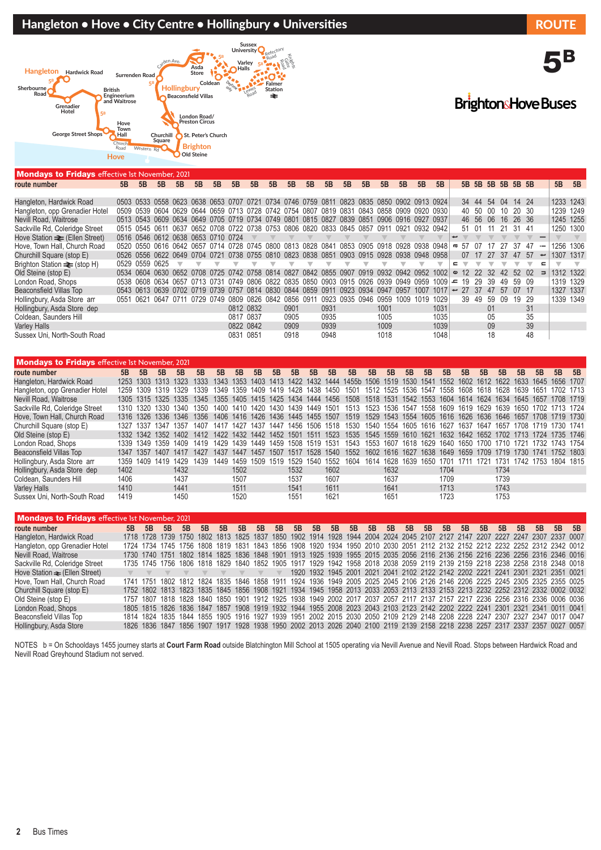## Hangleton • Hove • City Centre • Hollingbury • Universities ROUTE



| <b>Mondays to Fridays</b> effective 1st November, 2021 |    |                |                                                                                           |    |    |      |           |      |           |                     |     |      |                               |    |                     |                |           |          |          |       |      |     |     |                   |      |                          |           |    |
|--------------------------------------------------------|----|----------------|-------------------------------------------------------------------------------------------|----|----|------|-----------|------|-----------|---------------------|-----|------|-------------------------------|----|---------------------|----------------|-----------|----------|----------|-------|------|-----|-----|-------------------|------|--------------------------|-----------|----|
| route number                                           | 5B | 5B             | 5B                                                                                        | 5B | 5B | 5B   | 5B        | 5B   | 5B        | 5B                  | 5B  | 5B   | 5B                            | 5B | 5B                  | 5B             | 5B        | 5B       |          |       |      |     |     | 5B 5B 5B 5B 5B 5B |      |                          | 5B        | 5B |
|                                                        |    |                |                                                                                           |    |    |      |           |      |           |                     |     |      |                               |    |                     |                |           |          |          |       |      |     |     |                   |      |                          |           |    |
| Hangleton, Hardwick Road                               |    |                | 0503 0533 0558 0623 0638 0653 0707 0721 0734 0746 0759 0811 0823 0835 0850 0902 0913 0924 |    |    |      |           |      |           |                     |     |      |                               |    |                     |                |           |          |          | 34 44 |      | -54 | 04  | 14 24             |      |                          | 1233 1243 |    |
| Hangleton, opp Grenadier Hotel                         |    |                | 0509 0539 0604 0629 0644 0659 0713 0728 0742 0754 0807 0819 0831 0843 0858 0909 0920 0930 |    |    |      |           |      |           |                     |     |      |                               |    |                     |                |           |          |          | 40 50 |      | -00 | 10  | 20 30             |      |                          | 1239 1249 |    |
| Nevill Road, Waitrose                                  |    |                | 0513 0543 0609 0634 0649 0705 0719 0734 0749 0801 0815 0827 0839 0851                     |    |    |      |           |      |           |                     |     |      |                               |    | 0906 0916 0927 0937 |                |           |          |          | 46 56 |      | 06  | 16  | 26 36             |      |                          | 1245 1255 |    |
| Sackville Rd, Coleridge Street                         |    |                | 0515 0545 0611 0637 0652 0708 0722 0738 0753 0806 0820 0833 0845 0857 0911                |    |    |      |           |      |           |                     |     |      |                               |    |                     | 0921           | 0932 0942 |          |          | 51 01 |      |     | -21 | 31 41             |      |                          | 1250 1300 |    |
| Hove Station $\equiv$ (Ellen Street)                   |    |                | 0516 0546 0612 0638 0653 0710 0724                                                        |    |    |      |           |      |           |                     |     |      |                               |    |                     |                |           |          |          |       |      |     |     |                   |      |                          |           |    |
| Hove, Town Hall, Church Road                           |    |                | 0520 0550 0616 0642 0657 0714 0728 0745 0800 0813 0828 0841                               |    |    |      |           |      |           |                     |     |      | 0853 0905 0918 0928 0938 0948 |    |                     |                |           |          | $\sigma$ | -57   | - 07 |     | -27 | 37                | -47  | $\overline{\phantom{0}}$ | 1256 1306 |    |
| Churchill Square (stop E)                              |    |                | 0526 0556 0622 0649 0704 0721 0738 0755 0810 0823 0838 0851                               |    |    |      |           |      |           |                     |     |      | 0903 0915 0928                |    |                     | 0938 0948 0958 |           |          |          | 07    |      | 27  | 37  | 47                | -57  | ىپ                       | 1307 1317 |    |
| Brighton Station <del>≥</del> (stop H)                 |    | 0529 0559 0625 |                                                                                           |    |    |      |           |      |           |                     |     |      |                               |    |                     |                |           |          |          |       |      |     |     |                   |      |                          |           |    |
| Old Steine (stop E)                                    |    |                | 0534 0604 0630 0652 0708 0725 0742 0758 0814 0827 0842 0855 0907 0919 0932 0942 0952 1002 |    |    |      |           |      |           |                     |     |      |                               |    |                     |                |           |          | $\omega$ | 12    | 22   | -32 | 42  | .52               | - 02 |                          | 1312 1322 |    |
| London Road, Shops                                     |    |                | 0538 0608 0634 0657 0713 0731 0749 0806 0822 0835 0850 0903 0915 0926 0939                |    |    |      |           |      |           |                     |     |      |                               |    |                     | 0949           | 0959      | $1009 =$ |          | 19    | -29  | 39  | 49  | 59                | - 09 |                          | 1319 1329 |    |
| <b>Beaconsfield Villas Top</b>                         |    |                | 0543 0613 0639 0702 0719 0739 0757                                                        |    |    |      |           |      |           | 0814 0830 0844 0859 |     |      | 0911 0923 0934                |    | 0947                | 0957           | 1007      | 1017     | ∼        | 27    | -37  |     | .57 | 07                | - 17 |                          | 1327 1337 |    |
| Hollingbury, Asda Store arr                            |    |                | 0551 0621 0647 0711 0729                                                                  |    |    | 0749 | 0809      |      | 0826 0842 | 0856                | 091 | 0923 | 0935 0946                     |    | 0959                | 1009           | 1019      | 1029     |          | 39    | 49   | .59 | 09  | 19                | -29  |                          | 1339 1349 |    |
| Hollingbury, Asda Store dep                            |    |                |                                                                                           |    |    |      | 0812 0832 |      |           | 0901                |     | 0931 |                               |    | 1001                |                |           | 1031     |          |       |      | 01  |     |                   | 31   |                          |           |    |
| Coldean, Saunders Hill                                 |    |                |                                                                                           |    |    |      | 0817 0837 |      |           | 0905                |     | 0935 |                               |    | 1005                |                |           | 1035     |          |       |      | 05  |     |                   | 35   |                          |           |    |
| <b>Varley Halls</b>                                    |    |                |                                                                                           |    |    |      | 0822 0842 |      |           | 0909                |     | 0939 |                               |    | 1009                |                |           | 1039     |          |       |      | 09  |     |                   | 39   |                          |           |    |
| Sussex Uni, North-South Road                           |    |                |                                                                                           |    |    |      | 0831      | 0851 |           | 0918                |     | 0948 |                               |    | 1018                |                |           | 1048     |          |       |      | 18  |     |                   | 48   |                          |           |    |

**BrightonsHove Buses** 

| <b>Mondays to Fridays effective 1st November, 2021</b> |      |                |           |                     |      |      |      |           |                     |      |      |           |                                                                                                                              |      |                          |    |      |           |    |    |      |    |    |                               |    |
|--------------------------------------------------------|------|----------------|-----------|---------------------|------|------|------|-----------|---------------------|------|------|-----------|------------------------------------------------------------------------------------------------------------------------------|------|--------------------------|----|------|-----------|----|----|------|----|----|-------------------------------|----|
| route number                                           | 5B   | 5B             | 5B        | 5B                  | 5B   | 5B   | 5B   | 5B        | 5B                  | 5B   | 5B   | 5B        | 5B                                                                                                                           | 5B   | 5B                       | 5B | 5B   | 5B        | 5B | 5B | 5B   | 5B | 5B | 5B                            | 5B |
| Hangleton, Hardwick Road                               | 1253 |                |           | 1303 1313 1323      |      |      |      |           |                     |      |      |           | 1333 1343 1353 1403 1413 1422 1432 1444 1455b 1506 1519 1530 1541 1552 1602 1612 1622 1633 1645 1656 1707                    |      |                          |    |      |           |    |    |      |    |    |                               |    |
| Hangleton, opp Grenadier Hotel                         |      |                |           | 1259 1309 1319 1329 | 1339 |      |      |           |                     |      |      |           | 1349 1359 1409 1419 1428 1438 1450 1501 1512 1525 1536 1547 1558 1608 1618 1628 1639 1651                                    |      |                          |    |      |           |    |    |      |    |    | 1702 1713                     |    |
| Nevill Road. Waitrose                                  |      |                |           |                     |      |      |      |           |                     |      |      |           | 1305 1315 1325 1335 1345 1355 1405 1415 1425 1434 1444 1456 1508 1518 1531 1542 1553 1604 1614 1624 1634 1645 1657 1708 1719 |      |                          |    |      |           |    |    |      |    |    |                               |    |
| Sackville Rd, Coleridge Street                         |      |                |           | 1310 1320 1330 1340 | 1350 |      |      |           |                     |      |      |           | 1400 1410 1420 1430 1439 1449 1501 1513 1523 1536 1547 1558 1609 1619 1629 1639 1650 1702 1713 1724                          |      |                          |    |      |           |    |    |      |    |    |                               |    |
| Hove. Town Hall. Church Road                           |      |                |           |                     |      |      |      |           |                     |      |      |           | 1316 1326 1336 1346 1356 1406 1416 1426 1436 1445 1455 1507 1519 1529 1543 1554 1605 1616 1626 1636 1646 1657 1708 1719 1730 |      |                          |    |      |           |    |    |      |    |    |                               |    |
| Churchill Square (stop E)                              |      |                |           |                     |      |      |      |           |                     |      |      |           | 1327 1337 1347 1357 1407 1417 1427 1437 1447 1456 1506 1518 1530 1540 1554 1605 1616 1627 1637 1647 1657 1708 1719 1730 1741 |      |                          |    |      |           |    |    |      |    |    |                               |    |
| Old Steine (stop E)                                    |      |                |           |                     |      |      |      |           |                     |      |      |           | 1332 1342 1352 1402 1412 1422 1432 1442 1452 1501 1511 1523 1535 1545 1559 1610 1621 1632 1642 1652 1702 1713 1724 1735 1746 |      |                          |    |      |           |    |    |      |    |    |                               |    |
| London Road, Shops                                     |      |                |           | 1339 1349 1359 1409 |      |      |      |           |                     |      |      |           | 1419 1429 1439 1449 1459 1508 1519 1531 1543 1553 1607 1618 1629 1640 1650 1700 1710 1721 1732 1743 1754                     |      |                          |    |      |           |    |    |      |    |    |                               |    |
| Beaconsfield Villas Top                                |      | 1347 1357      | 1407 1417 |                     | 1427 | 1437 |      | 1447 1457 | 1507 1517           |      |      | 1528 1540 | 1552                                                                                                                         |      | 1602 1616 1627           |    | 1638 | 1649 1659 |    |    |      |    |    | 1709 1719 1730 1741 1752 1803 |    |
| Hollingbury, Asda Store arr                            | 1359 | 1409 1419 1429 |           |                     | 1439 | 1449 |      |           | 1459 1509 1519 1529 |      | 1540 | 1552      | 1604                                                                                                                         | 1614 | 1628 1639 1650 1701 1711 |    |      |           |    |    |      |    |    | 1721 1731 1742 1753 1804 1815 |    |
| Hollingbury, Asda Store dep                            | 1402 |                |           | 1432                |      |      | 1502 |           |                     | 1532 |      | 1602      |                                                                                                                              |      | 1632                     |    |      | 1704      |    |    | 1734 |    |    |                               |    |
| Coldean. Saunders Hill                                 | 1406 |                |           | 1437                |      |      | 1507 |           |                     | 1537 |      | 1607      |                                                                                                                              |      | 1637                     |    |      | 1709      |    |    | 1739 |    |    |                               |    |
| Varley Halls                                           | 1410 |                |           | 1441                |      |      | 1511 |           |                     | 1541 |      | 1611      |                                                                                                                              |      | 1641                     |    |      | 1713      |    |    | 1743 |    |    |                               |    |
| Sussex Uni. North-South Road                           | 1419 |                |           | 1450                |      |      | 1520 |           |                     | 1551 |      | 1621      |                                                                                                                              |      | 1651                     |    |      | 1723      |    |    | 1753 |    |    |                               |    |
|                                                        |      |                |           |                     |      |      |      |           |                     |      |      |           |                                                                                                                              |      |                          |    |      |           |    |    |      |    |    |                               |    |

| <b>Mondays to Fridays</b> effective 1st November, 2021 |    |    |    |    |    |    |    |    |    |    |    |    |    |    |    |    |    |    |    |    |    |                                                                                                                              |    |       |  |
|--------------------------------------------------------|----|----|----|----|----|----|----|----|----|----|----|----|----|----|----|----|----|----|----|----|----|------------------------------------------------------------------------------------------------------------------------------|----|-------|--|
| route number                                           | 5B | 5B | 5B | 5B | 5B | 5B | 5B | 5B | 5B | 5B | 5B | 5B | 5B | 5B | 5B | 5B | 5B | 5B | 5B | 5B | 5B | 5B                                                                                                                           | 5B | 5B 5B |  |
| Hangleton, Hardwick Road                               |    |    |    |    |    |    |    |    |    |    |    |    |    |    |    |    |    |    |    |    |    | 1718 1728 1739 1750 1802 1813 1825 1837 1850 1902 1914 1928 1944 2004 2024 2045 2107 2127 2147 2207 2227 2247 2307 2337 0007 |    |       |  |
| Hangleton, opp Grenadier Hotel                         |    |    |    |    |    |    |    |    |    |    |    |    |    |    |    |    |    |    |    |    |    | 1724 1734 1745 1756 1808 1819 1831 1843 1856 1908 1920 1934 1950 2010 2030 2051 2112 2132 2152 2212 2232 2252 2312 2342 0012 |    |       |  |
| Nevill Road, Waitrose                                  |    |    |    |    |    |    |    |    |    |    |    |    |    |    |    |    |    |    |    |    |    | 1730 1740 1751 1802 1814 1825 1836 1848 1901 1913 1925 1939 1955 2015 2035 2056 2116 2136 2156 2216 2236 2256 2316 2346 0016 |    |       |  |
| Sackville Rd, Coleridge Street                         |    |    |    |    |    |    |    |    |    |    |    |    |    |    |    |    |    |    |    |    |    | 1735 1745 1756 1806 1818 1829 1840 1852 1905 1917 1929 1942 1958 2018 2038 2059 2119 2139 2159 2218 2238 2258 2318 2348 0018 |    |       |  |
| Hove Station $\equiv$ (Ellen Street)                   |    |    |    |    |    |    |    |    |    |    |    |    |    |    |    |    |    |    |    |    |    | 1920 1932 1945 2001 2021 2041 2102 2122 2142 2202 2221 2241 2301 2321 2351 0021                                              |    |       |  |
| Hove, Town Hall, Church Road                           |    |    |    |    |    |    |    |    |    |    |    |    |    |    |    |    |    |    |    |    |    | 1741 1751 1802 1812 1824 1835 1846 1858 1911 1924 1936 1949 2005 2025 2045 2106 2126 2146 2206 2225 2245 2305 2325 2355 0025 |    |       |  |
| Churchill Square (stop E)                              |    |    |    |    |    |    |    |    |    |    |    |    |    |    |    |    |    |    |    |    |    | 1752 1802 1813 1823 1835 1845 1856 1908 1921 1934 1945 1958 2013 2033 2053 2113 2133 2153 2213 2232 2252 2312 2332 0002 0032 |    |       |  |
| Old Steine (stop E)                                    |    |    |    |    |    |    |    |    |    |    |    |    |    |    |    |    |    |    |    |    |    | 1757 1807 1818 1828 1840 1850 1901 1912 1925 1938 1949 2002 2017 2037 2057 2117 2137 2157 2217 2236 2256 2316 2336 0006 0036 |    |       |  |
| London Road, Shops                                     |    |    |    |    |    |    |    |    |    |    |    |    |    |    |    |    |    |    |    |    |    | 1805 1815 1826 1836 1847 1857 1908 1919 1932 1944 1955 2008 2023 2043 2103 2123 2142 2202 2222 2241 2301 2321 2341 0011 0041 |    |       |  |
| Beaconsfield Villas Top                                |    |    |    |    |    |    |    |    |    |    |    |    |    |    |    |    |    |    |    |    |    | 1814 1824 1835 1844 1855 1905 1916 1927 1939 1951 2002 2015 2030 2050 2109 2129 2148 2208 2228 2247 2307 2327 2347 0017 0047 |    |       |  |
| Hollingbury, Asda Store                                |    |    |    |    |    |    |    |    |    |    |    |    |    |    |    |    |    |    |    |    |    | 1826 1836 1847 1856 1907 1917 1928 1938 1950 2002 2013 2026 2040 2100 2119 2139 2158 2218 2238 2257 2317 2337 2357 0027 0057 |    |       |  |

NOTES b = On Schooldays 1455 journey starts at Court Farm Road outside Blatchington Mill School at 1505 operating via Nevill Avenue and Nevill Road. Stops between Hardwick Road and Nevill Road Greyhound Stadium not served.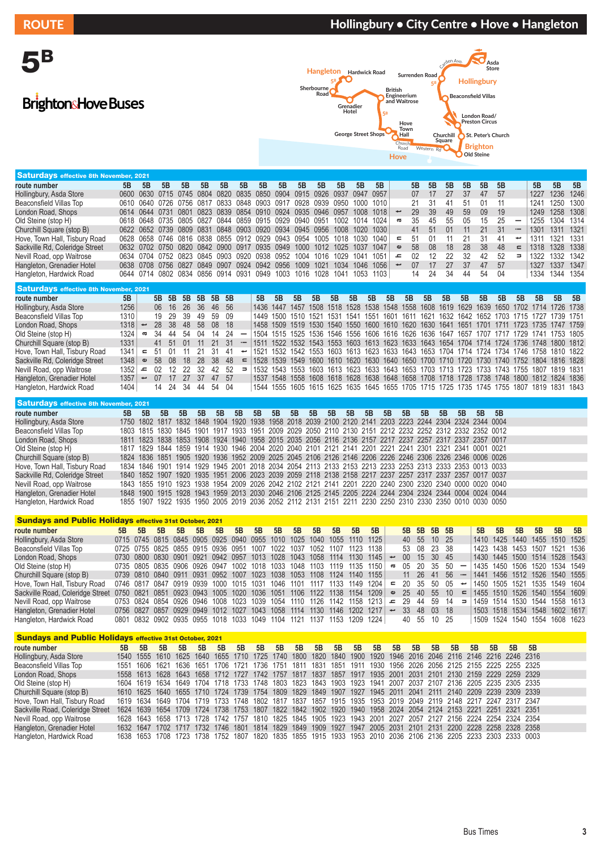# BrightonsHove Buses



| <b>Saturdays effective 8th November, 2021</b> |    |    |    |    |    |    |    |    |                                                                       |    |    |    |    |                                                                       |                          |     |     |    |    |    |      |                          |      |                |    |
|-----------------------------------------------|----|----|----|----|----|----|----|----|-----------------------------------------------------------------------|----|----|----|----|-----------------------------------------------------------------------|--------------------------|-----|-----|----|----|----|------|--------------------------|------|----------------|----|
| route number                                  | 5B | 5B | 5B | 5B | 5B | 5B | 5B | 5B | 5B                                                                    | 5B | 5B | 5B | 5B | 5B                                                                    |                          | 5B  | 5B  | 5B | 5B | 5B | -5B  |                          | 5B   | 5B             | 5B |
| Hollingbury, Asda Store                       |    |    |    |    |    |    |    |    | 0600 0630 0715 0745 0804 0820 0835 0850 0904 0915 0926 0937 0947      |    |    |    |    | 0957                                                                  |                          | 07  | 17  | 27 | 37 | 47 | .57  |                          | 1227 | 1236 1246      |    |
| Beaconsfield Villas Top                       |    |    |    |    |    |    |    |    | 0610 0640 0726 0756 0817 0833 0848 0903 0917 0928 0939 0950 1000 1010 |    |    |    |    |                                                                       |                          | 21  | 31  | 41 | 51 | 01 |      |                          | 1241 | 1250 1300      |    |
| London Road. Shops                            |    |    |    |    |    |    |    |    | 0614 0644 0731 0801 0823 0839 0854 0910 0924 0935 0946 0957 1008 1018 |    |    |    |    |                                                                       | $\overline{\phantom{0}}$ | 29  | 39  | 49 | 59 | 09 | - 19 |                          |      | 1249 1258 1308 |    |
| Old Steine (stop H)                           |    |    |    |    |    |    |    |    | 0618 0648 0735 0805 0827 0844 0859 0915 0929 0940 0951 1002 1014 1024 |    |    |    |    |                                                                       | $\boldsymbol{\varpi}$    | 35  | 45  | 55 | 05 | 15 | 25   | $\overline{\phantom{0}}$ |      | 1255 1304 1314 |    |
| Churchill Square (stop B)                     |    |    |    |    |    |    |    |    | 0622 0652 0739 0809 0831 0848 0903 0920 0934 0945 0956 1008 1020 1030 |    |    |    |    |                                                                       |                          | 41  | 51  | 01 |    | 21 | 31   |                          | 1301 | 1311 1321      |    |
| Hove, Town Hall, Tisbury Road                 |    |    |    |    |    |    |    |    | 0628 0658 0746 0816 0838 0855 0912 0929 0943 0954 1005 1018 1030 1040 |    |    |    |    |                                                                       | $\epsilon$               | .51 |     |    |    |    |      | ىپ                       |      | 1311 1321 1331 |    |
| Sackville Rd, Coleridge Street                |    |    |    |    |    |    |    |    | 0632 0702 0750 0820 0842 0900 0917 0935 0949 1000 1012 1025 1037 1047 |    |    |    |    |                                                                       | $\mathbf{\omega}$        | .58 | 08  | 18 | 28 | 38 | 48   | $\equiv$                 |      | 1318 1328 1338 |    |
| Nevill Road, opp Waitrose                     |    |    |    |    |    |    |    |    | 0634 0704 0752 0823 0845 0903 0920 0938 0952 1004 1016 1029 1041 1051 |    |    |    |    |                                                                       | ᅩ                        | 02  | 12  | 22 | 32 | 42 | 52   | ∍                        | 1322 | 1332 1342      |    |
| Hangleton, Grenadier Hotel                    |    |    |    |    |    |    |    |    |                                                                       |    |    |    |    | 0638 0708 0756 0827 0849 0907 0924 0942 0956 1009 1021 1034 1046 1056 | ىپ                       | 07  | 17  | 27 | 37 | 47 | .57  |                          | 1327 | 1337 1347      |    |
| Hangleton, Hardwick Road                      |    |    |    |    |    |    |    |    |                                                                       |    |    |    |    | 0644 0714 0802 0834 0856 0914 0931 0949 1003 1016 1028 1041 1053 1103 |                          | 14  | -24 | 34 | 44 | 54 | -04  |                          |      | 1334 1344 1354 |    |
| _____                                         |    |    |    |    |    |    |    |    |                                                                       |    |    |    |    |                                                                       |                          |     |     |    |    |    |      |                          |      |                |    |

| Saturdays effective 8th November, 2021, |      |                          |       |          |           |      |          |       |                              |    |    |    |    |    |    |    |    |    |    |    |    |    |    |                                                                                           |    |    |      |
|-----------------------------------------|------|--------------------------|-------|----------|-----------|------|----------|-------|------------------------------|----|----|----|----|----|----|----|----|----|----|----|----|----|----|-------------------------------------------------------------------------------------------|----|----|------|
| route number                            | 5B   |                          |       | 5B 5B 5B |           |      | 5B 5B 5B |       |                              | 5B | 5B | 5B | 5B | 5B | 5Β | 5B | 5B | 5B | 5B | 5B | 5B | 5B | 5B | 5B                                                                                        | 5B | 5B | - 5B |
| Hollingbury, Asda Store                 | 1256 |                          |       | 06 16 26 |           | - 36 | 46 56    |       |                              |    |    |    |    |    |    |    |    |    |    |    |    |    |    | 1436 1447 1457 1508 1518 1528 1538 1548 1558 1608 1619 1629 1639 1650 1702 1714 1726 1738 |    |    |      |
| Beaconsfield Villas Top                 | 1310 |                          | 19    | -29      | -39       | 49   |          | 59 09 |                              |    |    |    |    |    |    |    |    |    |    |    |    |    |    | 1449 1500 1510 1521 1531 1541 1551 1601 1611 1621 1632 1642 1652 1703 1715 1727 1739 1751 |    |    |      |
| London Road, Shops                      | 1318 | $\overline{\phantom{0}}$ |       | 28 38    | -48       | -58  | 08       | - 18  |                              |    |    |    |    |    |    |    |    |    |    |    |    |    |    | 1458 1509 1519 1530 1540 1550 1600 1610 1620 1630 1641 1651 1701 1711 1723 1735 1747 1759 |    |    |      |
| Old Steine (stop H)                     | 1324 | ത                        | -34   | 44       | -54       | 04   |          | -24   | $\qquad \qquad \blacksquare$ |    |    |    |    |    |    |    |    |    |    |    |    |    |    | 1504 1515 1525 1536 1546 1556 1606 1616 1626 1636 1647 1657 1707 1717 1729 1741 1753 1805 |    |    |      |
| Churchill Square (stop B)               | 1331 |                          | 41 51 |          | $\bigcap$ |      |          | 31    | $\overline{\phantom{a}}$     |    |    |    |    |    |    |    |    |    |    |    |    |    |    | 1511 1522 1532 1543 1553 1603 1613 1623 1633 1643 1654 1704 1714 1724 1736 1748 1800 1812 |    |    |      |
| Hove, Town Hall, Tisbury Road           | 1341 | $\epsilon$               | .51   |          |           |      |          | -41   | پ                            |    |    |    |    |    |    |    |    |    |    |    |    |    |    | 1521 1532 1542 1553 1603 1613 1623 1633 1643 1653 1704 1714 1724 1734 1746 1758 1810 1822 |    |    |      |
| Sackville Rd, Coleridge Street          | 1348 | $\mathbf{\Phi}$          | .58   | -08      | 18        | -28  | .38      | 48    | $\epsilon$                   |    |    |    |    |    |    |    |    |    |    |    |    |    |    | 1528 1539 1549 1600 1610 1620 1630 1640 1650 1700 1710 1720 1730 1740 1752 1804 1816 1828 |    |    |      |
| Nevill Road, opp Waitrose               | 1352 | ᅩ                        | 02    | -12      | 22        | -32  | 42       | 52    | $\Rightarrow$                |    |    |    |    |    |    |    |    |    |    |    |    |    |    | 1532 1543 1553 1603 1613 1623 1633 1643 1653 1703 1713 1723 1733 1743 1755 1807 1819 1831 |    |    |      |
| Hangleton, Grenadier Hotel              | 1357 |                          | 07    | 17       | 27        | 37   | 47 57    |       |                              |    |    |    |    |    |    |    |    |    |    |    |    |    |    | 1537 1548 1558 1608 1618 1628 1638 1648 1658 1708 1718 1728 1738 1748 1800 1812 1824 1836 |    |    |      |
| Hangleton, Hardwick Road                | 1404 |                          |       | - 24     | 34        | 44   |          | 54 04 |                              |    |    |    |    |    |    |    |    |    |    |    |    |    |    | 1544 1555 1605 1615 1625 1635 1645 1655 1705 1715 1725 1735 1745 1755 1807 1819 1831 1843 |    |    |      |

| Saturdays effective 8th November, 2021, |                                                                                                          |    |    |    |    |    |    |    |    |    |                                                                                                          |    |    |    |    |    |    |    |                |    |      |  |
|-----------------------------------------|----------------------------------------------------------------------------------------------------------|----|----|----|----|----|----|----|----|----|----------------------------------------------------------------------------------------------------------|----|----|----|----|----|----|----|----------------|----|------|--|
| route number                            | 5B                                                                                                       | 5B | 5B | 5R | 5B | 5B | 5B | 5B | 5B | 5B | 5B                                                                                                       | 5B | 5B | 5B | 5B | 5B | 5B | 5B | 5 <sub>R</sub> | 5B | - 5B |  |
| Hollingbury, Asda Store                 |                                                                                                          |    |    |    |    |    |    |    |    |    | 1750 1802 1817 1832 1848 1904 1920 1938 1958 2018 2039 2100 2120 2141 2203 2223 2244 2304 2324 2344 0004 |    |    |    |    |    |    |    |                |    |      |  |
| Beaconsfield Villas Top                 |                                                                                                          |    |    |    |    |    |    |    |    |    | 1803 1815 1830 1845 1901 1917 1933 1951 2009 2029 2050 2110 2130 2151 2212 2232 2252 2312 2332 2352 0012 |    |    |    |    |    |    |    |                |    |      |  |
| London Road, Shops                      |                                                                                                          |    |    |    |    |    |    |    |    |    | 1811 1823 1838 1853 1908 1924 1940 1958 2015 2035 2056 2116 2136 2157 2217 2237 2257 2317 2337 2357 0017 |    |    |    |    |    |    |    |                |    |      |  |
| Old Steine (stop H)                     |                                                                                                          |    |    |    |    |    |    |    |    |    | 1817 1829 1844 1859 1914 1930 1946 2004 2020 2040 2101 2121 2141 2201 2221 2241 2301 2321 2341 0001 0021 |    |    |    |    |    |    |    |                |    |      |  |
| Churchill Square (stop B)               |                                                                                                          |    |    |    |    |    |    |    |    |    | 1824 1836 1851 1905 1920 1936 1952 2009 2025 2045 2106 2126 2146 2206 2226 2246 2306 2326 2346 0006 0026 |    |    |    |    |    |    |    |                |    |      |  |
| Hove, Town Hall, Tisbury Road           | 1834 1846 1901 1914 1929 1945 2001 2018 2034 2054 2113 2133 2153 2213 2233 2253 2313 2333 2353 0013 0033 |    |    |    |    |    |    |    |    |    |                                                                                                          |    |    |    |    |    |    |    |                |    |      |  |
| Sackville Rd, Coleridge Street          |                                                                                                          |    |    |    |    |    |    |    |    |    | 1840 1852 1907 1920 1935 1951 2006 2023 2039 2059 2118 2138 2158 2217 2237 2257 2317 2337 2357 0017 0037 |    |    |    |    |    |    |    |                |    |      |  |
| Nevill Road, opp Waitrose               |                                                                                                          |    |    |    |    |    |    |    |    |    | 1843 1855 1910 1923 1938 1954 2009 2026 2042 2102 2121 2141 2201 2220 2240 2300 2320 2340 0000 0020 0040 |    |    |    |    |    |    |    |                |    |      |  |
| Hangleton, Grenadier Hotel              |                                                                                                          |    |    |    |    |    |    |    |    |    | 1848 1900 1915 1928 1943 1959 2013 2030 2046 2106 2125 2145 2205 2224 2244 2304 2324 2344 0004 0024 0044 |    |    |    |    |    |    |    |                |    |      |  |
| Hangleton, Hardwick Road                |                                                                                                          |    |    |    |    |    |    |    |    |    | 1855 1907 1922 1935 1950 2005 2019 2036 2052 2112 2131 2151 2211 2230 2250 2310 2330 2350 0010 0030 0050 |    |    |    |    |    |    |    |                |    |      |  |

| <b>Sundays and Public Holidays effective 31st October, 2021</b>                                        |    |    |                                                             |    |    |    |    |                |           |    |           |                                                                       |           |                                                                       |                          |                 |             |          |       |        |                |    |                               |                |    |      |
|--------------------------------------------------------------------------------------------------------|----|----|-------------------------------------------------------------|----|----|----|----|----------------|-----------|----|-----------|-----------------------------------------------------------------------|-----------|-----------------------------------------------------------------------|--------------------------|-----------------|-------------|----------|-------|--------|----------------|----|-------------------------------|----------------|----|------|
| route number                                                                                           | 5B | 5B | 5B                                                          | 5B | 5B | 5B | 5B | 5B             | 5B        | 5B | 5B        | 5B                                                                    | 5B        | 5B                                                                    |                          |                 | 5B 5B 5B 5B |          |       |        | 5B             | 5B | 5B                            | 5B             | 5B | - 5B |
| Hollingbury, Asda Store                                                                                |    |    | 0715 0745 0815 0845 0905 0925 0940 0955 1010 1025           |    |    |    |    |                |           |    |           | 1040 1055 1110 1125                                                   |           |                                                                       |                          |                 | 40 55 10 25 |          |       |        |                |    | 1410 1425 1440 1455 1510 1525 |                |    |      |
| Beaconsfield Villas Top                                                                                |    |    | 0725 0755 0825 0855 0915 0936 0951                          |    |    |    |    | 1007 1022 1037 |           |    | 1052 1107 |                                                                       | 1123 1138 |                                                                       |                          |                 | 53 08 23 38 |          |       |        |                |    | 1423 1438 1453 1507 1521 1536 |                |    |      |
| London Road, Shops                                                                                     |    |    | 0730 0800 0830 0901 0921 0942 0957 1013 1028 1043 1058 1114 |    |    |    |    |                |           |    |           |                                                                       |           | 1130 1145                                                             | ىپ                       | 00 <sup>1</sup> | 15 30 45    |          |       |        |                |    | 1430 1445 1500 1514 1528 1543 |                |    |      |
| Old Steine (stop H)                                                                                    |    |    | 0735 0805 0835 0906 0926 0947 1002 1018 1033 1048 1103 1119 |    |    |    |    |                |           |    |           |                                                                       | 1135 1150 |                                                                       | $\boldsymbol{\varpi}$    | 05              | -20         | 35 50    |       |        |                |    | 1435 1450 1506 1520 1534 1549 |                |    |      |
| Churchill Square (stop B)                                                                              |    |    |                                                             |    |    |    |    |                |           |    |           | 0739 0810 0840 0911 0931 0952 1007 1023 1038 1053 1108 1124 1140 1155 |           |                                                                       |                          | 11              | 26 41       |          | 56    |        |                |    | 1441 1456 1512 1526 1540 1555 |                |    |      |
| Hove, Town Hall, Tisbury Road                                                                          |    |    | 0746 0817 0847 0919 0939 1000 1015 1031 1046 1101           |    |    |    |    |                |           |    |           | 1117 1133 1149 1204                                                   |           |                                                                       | $\equiv$                 | 20.             | 35 50       |          | -05   | پ      | 1450 1505 1521 |    |                               | 1535 1549 1604 |    |      |
| Sackville Road, Coleridge Street 0750 0821 0851 0923 0943 1005 1020 1036 1051 1106 1122 1138 1154 1209 |    |    |                                                             |    |    |    |    |                |           |    |           |                                                                       |           |                                                                       | $\mathbf \omega$         | 25              | -40         | -55      | $-10$ | $\Box$ |                |    | 1455 1510 1526 1540 1554 1609 |                |    |      |
| Nevill Road, opp Waitrose                                                                              |    |    | 0753 0824 0854 0926 0946 1008 1023 1039 1054 1110           |    |    |    |    |                |           |    |           | 1126 1142 1158 1213                                                   |           |                                                                       | ᅩ                        | 29              | 44          | -59      | -14   | - 3    |                |    | 1459 1514 1530 1544 1558 1613 |                |    |      |
| Hangleton, Grenadier Hotel                                                                             |    |    | 0756 0827 0857 0929 0949 1012 1027 1043                     |    |    |    |    |                | 1058 1114 |    | 1130      | 1146 1202 1217                                                        |           |                                                                       | $\overline{\phantom{a}}$ | 33              |             | 48 03 18 |       |        |                |    | 1503 1518 1534 1548 1602 1617 |                |    |      |
| Hangleton, Hardwick Road                                                                               |    |    |                                                             |    |    |    |    |                |           |    |           |                                                                       |           | 0801 0832 0902 0935 0955 1018 1033 1049 1104 1121 1137 1153 1209 1224 |                          |                 | 40 55 10 25 |          |       |        |                |    | 1509 1524 1540 1554 1608 1623 |                |    |      |

|                                  | <b>Sundays and Public Holidays effective 31st October, 2021</b><br>5B<br>5B<br>5B<br>5B<br>5B<br>5B<br>5B<br>5B<br>5B<br>5B<br>5B<br>5B<br>5B<br>5B<br>5B<br>5B<br>5B<br>5B<br>5B<br>5B<br>5B.<br>5B<br>1540 1555 1610 1625 1640 1655 1710 1725 1740 1800 1820 1840 1900 1920 1946 2016 2046 2116 2146 2216 2246 2316<br>1930 1956 2026 2056 2125 2155 2225 2255 2325<br>1551 1606 1621 1636 1651 1706 1721 1736 1751 1811 1831 1851 1911<br>1558 1613 1628 1643 1658 1712 1727 1742 1757 1817 1837 1857 1917 1935 2001 2031 2101 2130 2159 2229 2259 2329<br>1604 1619 1634 1649 1704 1718 1733 1748 1803 1823 1843 1903 1923 1941 2007 2037 2107 2136 2205 2235 2305 2335 |  |  |  |  |  |  |  |  |  |  |  |                                                                                                               |  |  |  |  |  |  |
|----------------------------------|-----------------------------------------------------------------------------------------------------------------------------------------------------------------------------------------------------------------------------------------------------------------------------------------------------------------------------------------------------------------------------------------------------------------------------------------------------------------------------------------------------------------------------------------------------------------------------------------------------------------------------------------------------------------------------|--|--|--|--|--|--|--|--|--|--|--|---------------------------------------------------------------------------------------------------------------|--|--|--|--|--|--|
| route number                     |                                                                                                                                                                                                                                                                                                                                                                                                                                                                                                                                                                                                                                                                             |  |  |  |  |  |  |  |  |  |  |  |                                                                                                               |  |  |  |  |  |  |
| Hollingbury, Asda Store          |                                                                                                                                                                                                                                                                                                                                                                                                                                                                                                                                                                                                                                                                             |  |  |  |  |  |  |  |  |  |  |  |                                                                                                               |  |  |  |  |  |  |
| Beaconsfield Villas Top          |                                                                                                                                                                                                                                                                                                                                                                                                                                                                                                                                                                                                                                                                             |  |  |  |  |  |  |  |  |  |  |  |                                                                                                               |  |  |  |  |  |  |
| London Road, Shops               |                                                                                                                                                                                                                                                                                                                                                                                                                                                                                                                                                                                                                                                                             |  |  |  |  |  |  |  |  |  |  |  |                                                                                                               |  |  |  |  |  |  |
| Old Steine (stop H)              |                                                                                                                                                                                                                                                                                                                                                                                                                                                                                                                                                                                                                                                                             |  |  |  |  |  |  |  |  |  |  |  |                                                                                                               |  |  |  |  |  |  |
| Churchill Square (stop B)        |                                                                                                                                                                                                                                                                                                                                                                                                                                                                                                                                                                                                                                                                             |  |  |  |  |  |  |  |  |  |  |  | 1610 1625 1640 1655 1710 1724 1739 1754 1809 1829 1849 1907 1927 1945 2011 2041 2111 2140 2209 2239 2309 2339 |  |  |  |  |  |  |
| Hove, Town Hall, Tisbury Road    |                                                                                                                                                                                                                                                                                                                                                                                                                                                                                                                                                                                                                                                                             |  |  |  |  |  |  |  |  |  |  |  | 1619 1634 1649 1704 1719 1733 1748 1802 1817 1837 1857 1915 1935 1953 2019 2049 2119 2148 2217 2247 2317 2347 |  |  |  |  |  |  |
| Sackville Road, Coleridge Street |                                                                                                                                                                                                                                                                                                                                                                                                                                                                                                                                                                                                                                                                             |  |  |  |  |  |  |  |  |  |  |  | 1624 1639 1654 1709 1724 1738 1753 1807 1822 1842 1902 1920 1940 1958 2024 2054 2124 2153 2221 2251 2321 2351 |  |  |  |  |  |  |
| Nevill Road, opp Waitrose        |                                                                                                                                                                                                                                                                                                                                                                                                                                                                                                                                                                                                                                                                             |  |  |  |  |  |  |  |  |  |  |  | 1628 1643 1658 1713 1728 1742 1757 1810 1825 1845 1905 1923 1943 2001 2027 2057 2127 2156 2224 2254 2324 2354 |  |  |  |  |  |  |
| Hangleton, Grenadier Hotel       |                                                                                                                                                                                                                                                                                                                                                                                                                                                                                                                                                                                                                                                                             |  |  |  |  |  |  |  |  |  |  |  | 1632 1647 1702 1717 1732 1746 1801 1814 1829 1849 1909 1927 1947 2005 2031 2101 2131 2200 2228 2258 2328 2358 |  |  |  |  |  |  |
| Hangleton, Hardwick Road         |                                                                                                                                                                                                                                                                                                                                                                                                                                                                                                                                                                                                                                                                             |  |  |  |  |  |  |  |  |  |  |  | 1638 1653 1708 1723 1738 1752 1807 1820 1835 1855 1915 1933 1953 2010 2036 2106 2136 2205 2233 2303 2333 0003 |  |  |  |  |  |  |